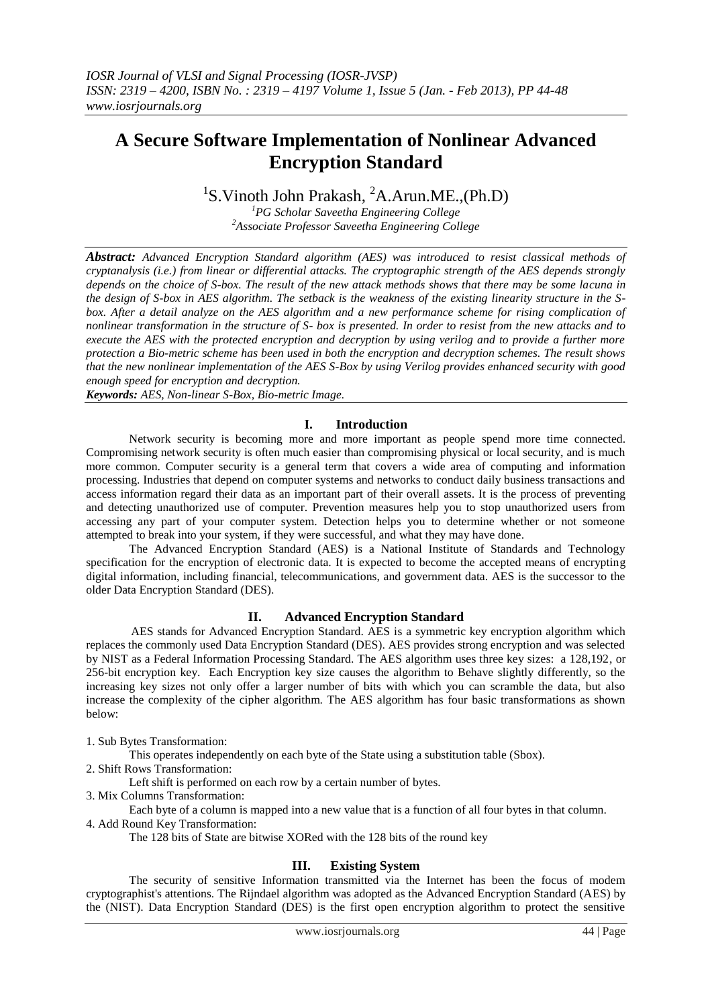# **A Secure Software Implementation of Nonlinear Advanced Encryption Standard**

<sup>1</sup>S. Vinoth John Prakash, <sup>2</sup>A. Arun. ME., (Ph. D)

*<sup>1</sup>PG Scholar Saveetha Engineering College <sup>2</sup>Associate Professor Saveetha Engineering College*

*Abstract: Advanced Encryption Standard algorithm (AES) was introduced to resist classical methods of cryptanalysis (i.e.) from linear or differential attacks. The cryptographic strength of the AES depends strongly depends on the choice of S-box. The result of the new attack methods shows that there may be some lacuna in the design of S-box in AES algorithm. The setback is the weakness of the existing linearity structure in the S*box. After a detail analyze on the AES algorithm and a new performance scheme for rising complication of *nonlinear transformation in the structure of S- box is presented. In order to resist from the new attacks and to execute the AES with the protected encryption and decryption by using verilog and to provide a further more protection a Bio-metric scheme has been used in both the encryption and decryption schemes. The result shows that the new nonlinear implementation of the AES S-Box by using Verilog provides enhanced security with good enough speed for encryption and decryption.*

*Keywords: AES, Non-linear S-Box, Bio-metric Image.*

# **I. Introduction**

Network security is becoming more and more important as people spend more time connected. Compromising network security is often much easier than compromising physical or local security, and is much more common. Computer security is a general term that covers a wide area of computing and information processing. Industries that depend on computer systems and networks to conduct daily business transactions and access information regard their data as an important part of their overall assets. It is the process of preventing and detecting unauthorized use of computer. Prevention measures help you to stop unauthorized users from accessing any part of your computer system. Detection helps you to determine whether or not someone attempted to break into your system, if they were successful, and what they may have done.

The Advanced Encryption Standard (AES) is a National Institute of Standards and Technology specification for the encryption of electronic data. It is expected to become the accepted means of encrypting digital information, including financial, telecommunications, and government data. AES is the successor to the older Data Encryption Standard (DES).

### **II. Advanced Encryption Standard**

 AES stands for Advanced Encryption Standard. AES is a symmetric key encryption algorithm which replaces the commonly used Data Encryption Standard (DES). AES provides strong encryption and was selected by NIST as a Federal Information Processing Standard. The AES algorithm uses three key sizes: a 128,192, or 256-bit encryption key. Each Encryption key size causes the algorithm to Behave slightly differently, so the increasing key sizes not only offer a larger number of bits with which you can scramble the data, but also increase the complexity of the cipher algorithm. The AES algorithm has four basic transformations as shown below:

1. Sub Bytes Transformation:

This operates independently on each byte of the State using a substitution table (Sbox).

2. Shift Rows Transformation:

Left shift is performed on each row by a certain number of bytes.

3. Mix Columns Transformation:

Each byte of a column is mapped into a new value that is a function of all four bytes in that column.

4. Add Round Key Transformation:

The 128 bits of State are bitwise XORed with the 128 bits of the round key

# **III. Existing System**

The security of sensitive Information transmitted via the Internet has been the focus of modem cryptographist's attentions. The Rijndael algorithm was adopted as the Advanced Encryption Standard (AES) by the (NIST). Data Encryption Standard (DES) is the first open encryption algorithm to protect the sensitive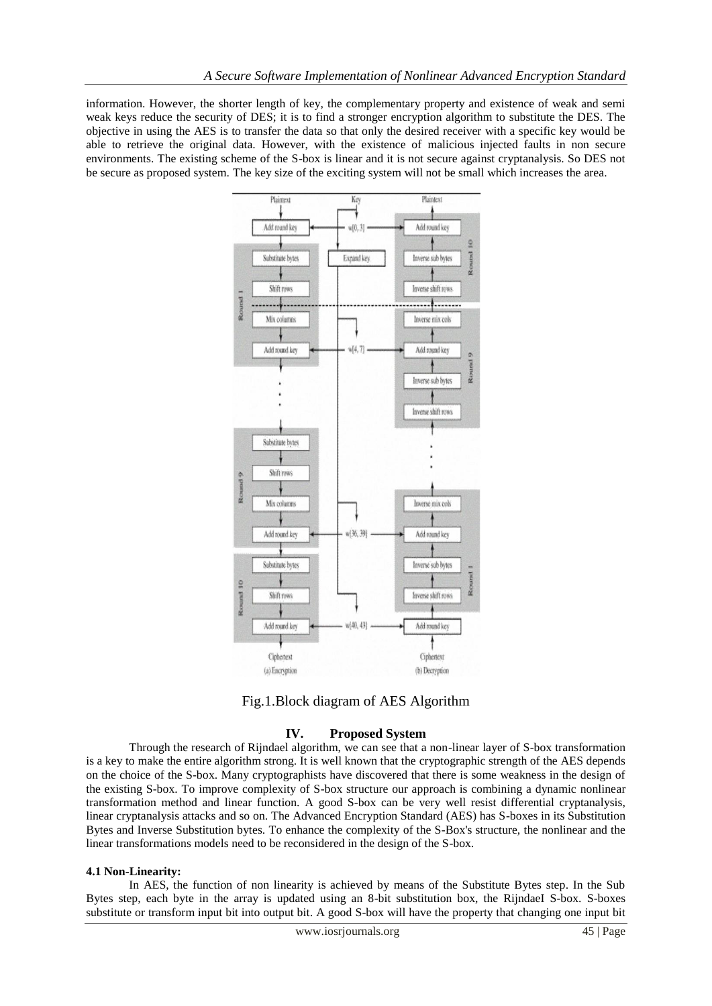information. However, the shorter length of key, the complementary property and existence of weak and semi weak keys reduce the security of DES; it is to find a stronger encryption algorithm to substitute the DES. The objective in using the AES is to transfer the data so that only the desired receiver with a specific key would be able to retrieve the original data. However, with the existence of malicious injected faults in non secure environments. The existing scheme of the S-box is linear and it is not secure against cryptanalysis. So DES not be secure as proposed system. The key size of the exciting system will not be small which increases the area.



Fig.1.Block diagram of AES Algorithm

# **IV. Proposed System**

Through the research of Rijndael algorithm, we can see that a non-linear layer of S-box transformation is a key to make the entire algorithm strong. It is well known that the cryptographic strength of the AES depends on the choice of the S-box. Many cryptographists have discovered that there is some weakness in the design of the existing S-box. To improve complexity of S-box structure our approach is combining a dynamic nonlinear transformation method and linear function. A good S-box can be very well resist differential cryptanalysis, linear cryptanalysis attacks and so on. The Advanced Encryption Standard (AES) has S-boxes in its Substitution Bytes and Inverse Substitution bytes. To enhance the complexity of the S-Box's structure, the nonlinear and the linear transformations models need to be reconsidered in the design of the S-box.

#### **4.1 Non-Linearity:**

In AES, the function of non linearity is achieved by means of the Substitute Bytes step. In the Sub Bytes step, each byte in the array is updated using an 8-bit substitution box, the RijndaeI S-box. S-boxes substitute or transform input bit into output bit. A good S-box will have the property that changing one input bit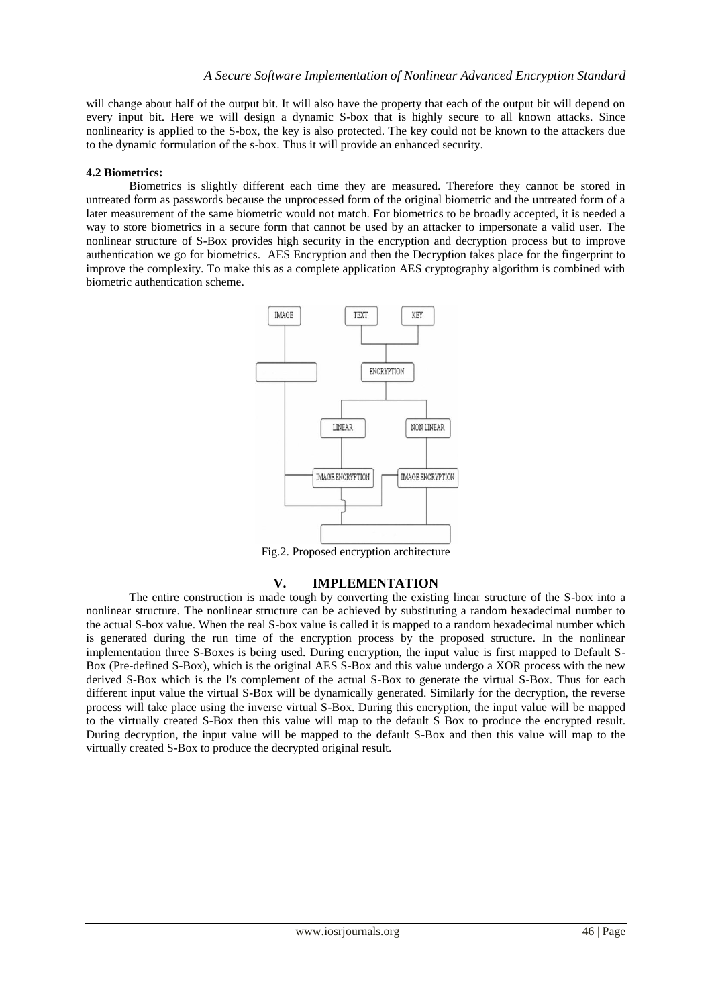will change about half of the output bit. It will also have the property that each of the output bit will depend on every input bit. Here we will design a dynamic S-box that is highly secure to all known attacks. Since nonlinearity is applied to the S-box, the key is also protected. The key could not be known to the attackers due to the dynamic formulation of the s-box. Thus it will provide an enhanced security.

### **4.2 Biometrics:**

Biometrics is slightly different each time they are measured. Therefore they cannot be stored in untreated form as passwords because the unprocessed form of the original biometric and the untreated form of a later measurement of the same biometric would not match. For biometrics to be broadly accepted, it is needed a way to store biometrics in a secure form that cannot be used by an attacker to impersonate a valid user. The nonlinear structure of S-Box provides high security in the encryption and decryption process but to improve authentication we go for biometrics. AES Encryption and then the Decryption takes place for the fingerprint to improve the complexity. To make this as a complete application AES cryptography algorithm is combined with biometric authentication scheme.



Fig.2. Proposed encryption architecture

# **V. IMPLEMENTATION**

The entire construction is made tough by converting the existing linear structure of the S-box into a nonlinear structure. The nonlinear structure can be achieved by substituting a random hexadecimal number to the actual S-box value. When the real S-box value is called it is mapped to a random hexadecimal number which is generated during the run time of the encryption process by the proposed structure. In the nonlinear implementation three S-Boxes is being used. During encryption, the input value is first mapped to Default S-Box (Pre-defined S-Box), which is the original AES S-Box and this value undergo a XOR process with the new derived S-Box which is the l's complement of the actual S-Box to generate the virtual S-Box. Thus for each different input value the virtual S-Box will be dynamically generated. Similarly for the decryption, the reverse process will take place using the inverse virtual S-Box. During this encryption, the input value will be mapped to the virtually created S-Box then this value will map to the default S Box to produce the encrypted result. During decryption, the input value will be mapped to the default S-Box and then this value will map to the virtually created S-Box to produce the decrypted original result.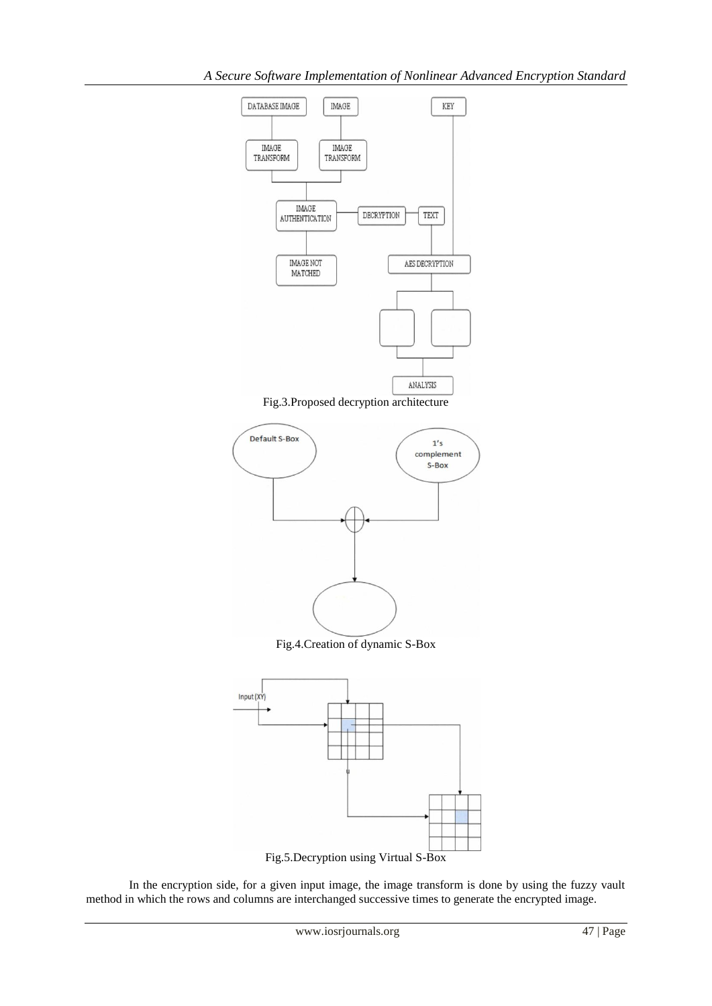

Fig.3.Proposed decryption architecture



Fig.4.Creation of dynamic S-Box



In the encryption side, for a given input image, the image transform is done by using the fuzzy vault

method in which the rows and columns are interchanged successive times to generate the encrypted image.